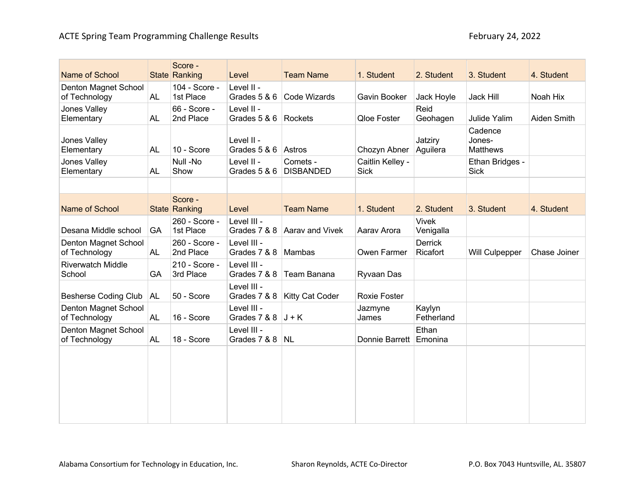| Name of School                        |           | Score -<br>State Ranking   | Level                       | <b>Team Name</b>             | 1. Student                      | 2. Student                 | 3. Student                           | 4. Student   |
|---------------------------------------|-----------|----------------------------|-----------------------------|------------------------------|---------------------------------|----------------------------|--------------------------------------|--------------|
| Denton Magnet School<br>of Technology | <b>AL</b> | 104 - Score -<br>1st Place | Level II -<br>Grades 5 & 6  | Code Wizards                 | Gavin Booker                    | Jack Hoyle                 | Jack Hill                            | Noah Hix     |
| Jones Valley<br>Elementary            | AL        | 66 - Score -<br>2nd Place  | Level II -<br>Grades 5 & 6  | Rockets                      | Qloe Foster                     | Reid<br>Geohagen           | Julide Yalim                         | Aiden Smith  |
| Jones Valley<br>Elementary            | <b>AL</b> | 10 - Score                 | Level II -<br>Grades 5 & 6  | Astros                       | Chozyn Abner                    | Jatziry<br>Aguilera        | Cadence<br>Jones-<br><b>Matthews</b> |              |
| Jones Valley<br>Elementary            | <b>AL</b> | Null-No<br>Show            | Level II -<br>Grades 5 & 6  | Comets -<br><b>DISBANDED</b> | Caitlin Kelley -<br><b>Sick</b> |                            | Ethan Bridges -<br><b>Sick</b>       |              |
|                                       |           |                            |                             |                              |                                 |                            |                                      |              |
| Name of School                        |           | Score -<br>State Ranking   | Level                       | <b>Team Name</b>             | 1. Student                      | 2. Student                 | 3. Student                           | 4. Student   |
| Desana Middle school                  | GA        | 260 - Score -<br>1st Place | Level III -<br>Grades 7 & 8 | Aarav and Vivek              | Aarav Arora                     | <b>Vivek</b><br>Venigalla  |                                      |              |
| Denton Magnet School<br>of Technology | <b>AL</b> | 260 - Score -<br>2nd Place | Level III -<br>Grades 7 & 8 | Mambas                       | Owen Farmer                     | <b>Derrick</b><br>Ricafort | Will Culpepper                       | Chase Joiner |
| <b>Riverwatch Middle</b><br>School    | GA        | 210 - Score -<br>3rd Place | Level III -<br>Grades 7 & 8 | Team Banana                  | Ryvaan Das                      |                            |                                      |              |
| <b>Besherse Coding Club</b>           | <b>AL</b> | 50 - Score                 | Level III -<br>Grades 7 & 8 | Kitty Cat Coder              | Roxie Foster                    |                            |                                      |              |
| Denton Magnet School<br>of Technology | <b>AL</b> | 16 - Score                 | Level III -<br>Grades 7 & 8 | $J + K$                      | Jazmyne<br>James                | Kaylyn<br>Fetherland       |                                      |              |
| Denton Magnet School<br>of Technology | <b>AL</b> | 18 - Score                 | Level III -<br>Grades 7 & 8 | <b>NL</b>                    | Donnie Barrett                  | Ethan<br>Emonina           |                                      |              |
|                                       |           |                            |                             |                              |                                 |                            |                                      |              |
|                                       |           |                            |                             |                              |                                 |                            |                                      |              |
|                                       |           |                            |                             |                              |                                 |                            |                                      |              |
|                                       |           |                            |                             |                              |                                 |                            |                                      |              |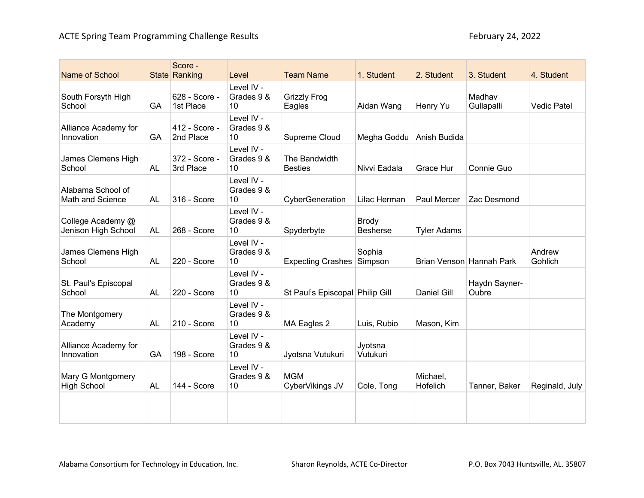| Name of School                           |           | Score -<br>State Ranking   | Level                          | <b>Team Name</b>                | 1. Student                      | 2. Student           | 3. Student               | 4. Student         |
|------------------------------------------|-----------|----------------------------|--------------------------------|---------------------------------|---------------------------------|----------------------|--------------------------|--------------------|
| South Forsyth High<br>School             | GA        | 628 - Score -<br>1st Place | Level IV -<br>Grades 9 &<br>10 | <b>Grizzly Frog</b><br>Eagles   | Aidan Wang                      | Henry Yu             | Madhav<br>Gullapalli     | <b>Vedic Patel</b> |
| Alliance Academy for<br>Innovation       | GA        | 412 - Score -<br>2nd Place | Level IV -<br>Grades 9 &<br>10 | Supreme Cloud                   | Megha Goddu Anish Budida        |                      |                          |                    |
| James Clemens High<br>School             | <b>AL</b> | 372 - Score -<br>3rd Place | Level IV -<br>Grades 9 &<br>10 | The Bandwidth<br><b>Besties</b> | Nivvi Eadala                    | Grace Hur            | Connie Guo               |                    |
| Alabama School of<br>Math and Science    | <b>AL</b> | 316 - Score                | Level IV -<br>Grades 9 &<br>10 | CyberGeneration                 | Lilac Herman                    | Paul Mercer          | Zac Desmond              |                    |
| College Academy @<br>Jenison High School | <b>AL</b> | 268 - Score                | Level IV -<br>Grades 9 &<br>10 | Spyderbyte                      | <b>Brody</b><br><b>Besherse</b> | <b>Tyler Adams</b>   |                          |                    |
| James Clemens High<br>School             | <b>AL</b> | 220 - Score                | Level IV -<br>Grades 9 &<br>10 | <b>Expecting Crashes</b>        | Sophia<br>Simpson               |                      | Brian Venson Hannah Park | Andrew<br>Gohlich  |
| St. Paul's Episcopal<br>School           | <b>AL</b> | 220 - Score                | Level IV -<br>Grades 9 &<br>10 | St Paul's Episcopal Philip Gill |                                 | <b>Daniel Gill</b>   | Haydn Sayner-<br>Oubre   |                    |
| The Montgomery<br>Academy                | <b>AL</b> | 210 - Score                | Level IV -<br>Grades 9 &<br>10 | MA Eagles 2                     | Luis, Rubio                     | Mason, Kim           |                          |                    |
| Alliance Academy for<br>Innovation       | GA        | 198 - Score                | Level IV -<br>Grades 9 &<br>10 | Jyotsna Vutukuri                | Jyotsna<br>Vutukuri             |                      |                          |                    |
| Mary G Montgomery<br><b>High School</b>  | <b>AL</b> | 144 - Score                | Level IV -<br>Grades 9 &<br>10 | <b>MGM</b><br>CyberVikings JV   | Cole, Tong                      | Michael,<br>Hofelich | Tanner, Baker            | Reginald, July     |
|                                          |           |                            |                                |                                 |                                 |                      |                          |                    |